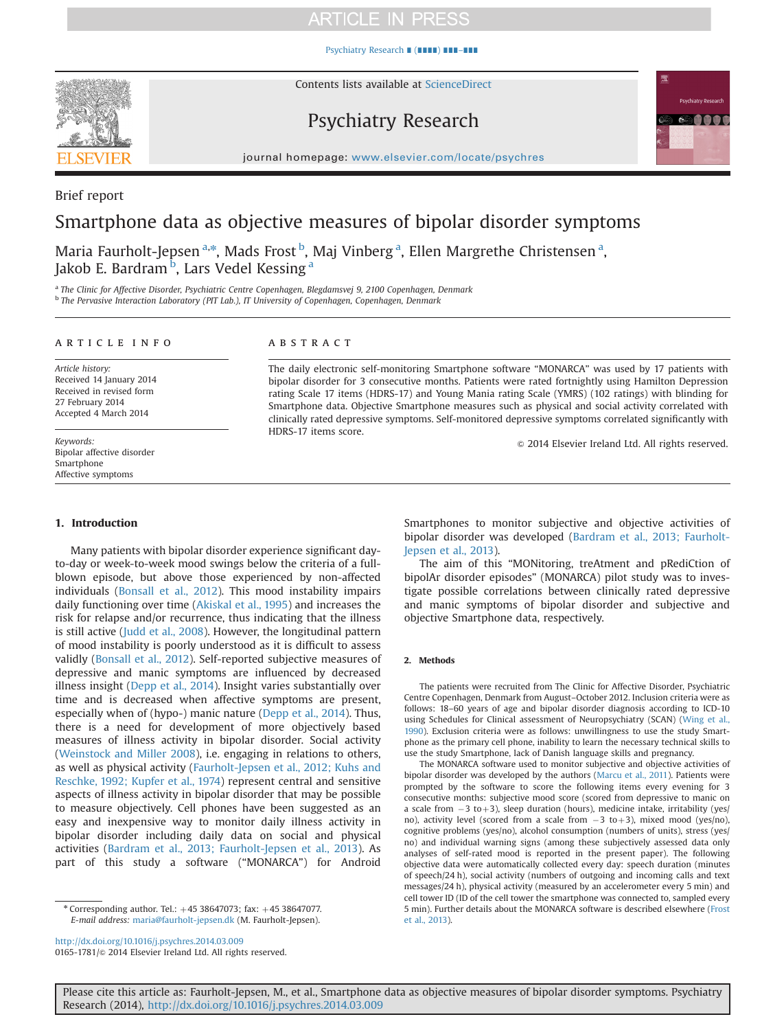# **ARTICLE IN PRESS**

#### [Psychiatry Research](http://dx.doi.org/10.1016/j.psychres.2014.03.009) ∎ (∎∎∎∎) ∎∎∎–∎∎∎



Contents lists available at [ScienceDirect](www.sciencedirect.com/science/journal/01651781)

# Psychiatry Research



journal homepage: <www.elsevier.com/locate/psychres>

## Brief report

# Smartphone data as objective measures of bipolar disorder symptoms

Maria Faurholt-Jepsen <sup>a,\*</sup>, Mads Frost <sup>b</sup>, Maj Vinberg <sup>a</sup>, Ellen Margrethe Christensen <sup>a</sup>, Jakob E. Bardram<sup>b</sup>, Lars Vedel Kessing <sup>a</sup>

<sup>a</sup> The Clinic for Affective Disorder, Psychiatric Centre Copenhagen, Blegdamsvej 9, 2100 Copenhagen, Denmark <sup>b</sup> The Pervasive Interaction Laboratory (PIT Lab.), IT University of Copenhagen, Copenhagen, Denmark

#### article info

Article history: Received 14 January 2014 Received in revised form 27 February 2014 Accepted 4 March 2014

Keywords: Bipolar affective disorder Smartphone Affective symptoms

#### 1. Introduction

Many patients with bipolar disorder experience significant dayto-day or week-to-week mood swings below the criteria of a fullblown episode, but above those experienced by non-affected individuals ([Bonsall et al., 2012\)](#page-2-0). This mood instability impairs daily functioning over time [\(Akiskal et al., 1995\)](#page-2-0) and increases the risk for relapse and/or recurrence, thus indicating that the illness is still active [\(Judd et al., 2008\)](#page-2-0). However, the longitudinal pattern of mood instability is poorly understood as it is difficult to assess validly ([Bonsall et al., 2012\)](#page-2-0). Self-reported subjective measures of depressive and manic symptoms are influenced by decreased illness insight ([Depp et al., 2014\)](#page-2-0). Insight varies substantially over time and is decreased when affective symptoms are present, especially when of (hypo-) manic nature ([Depp et al., 2014](#page-2-0)). Thus, there is a need for development of more objectively based measures of illness activity in bipolar disorder. Social activity ([Weinstock and Miller 2008\)](#page-3-0), i.e. engaging in relations to others, as well as physical activity [\(Faurholt-Jepsen et al., 2012; Kuhs and](#page-2-0) [Reschke, 1992; Kupfer et al., 1974\)](#page-2-0) represent central and sensitive aspects of illness activity in bipolar disorder that may be possible to measure objectively. Cell phones have been suggested as an easy and inexpensive way to monitor daily illness activity in bipolar disorder including daily data on social and physical activities [\(Bardram et al., 2013; Faurholt-Jepsen et al., 2013\)](#page-2-0). As part of this study a software ("MONARCA") for Android

 $*$  Corresponding author. Tel.:  $+45$  38647073; fax:  $+45$  38647077. E-mail address: [maria@faurholt-jepsen.dk](mailto:maria@faurholt-jepsen.dk) (M. Faurholt-Jepsen).

<http://dx.doi.org/10.1016/j.psychres.2014.03.009>

0165-1781/© 2014 Elsevier Ireland Ltd. All rights reserved.

### ABSTRACT

The daily electronic self-monitoring Smartphone software "MONARCA" was used by 17 patients with bipolar disorder for 3 consecutive months. Patients were rated fortnightly using Hamilton Depression rating Scale 17 items (HDRS-17) and Young Mania rating Scale (YMRS) (102 ratings) with blinding for Smartphone data. Objective Smartphone measures such as physical and social activity correlated with clinically rated depressive symptoms. Self-monitored depressive symptoms correlated significantly with HDRS-17 items score.

 $©$  2014 Elsevier Ireland Ltd. All rights reserved.

Smartphones to monitor subjective and objective activities of bipolar disorder was developed ([Bardram et al., 2013; Faurholt-](#page-2-0)[Jepsen et al., 2013\)](#page-2-0).

The aim of this "MONitoring, treAtment and pRediCtion of bipolAr disorder episodes" (MONARCA) pilot study was to investigate possible correlations between clinically rated depressive and manic symptoms of bipolar disorder and subjective and objective Smartphone data, respectively.

#### 2. Methods

The patients were recruited from The Clinic for Affective Disorder, Psychiatric Centre Copenhagen, Denmark from August–October 2012. Inclusion criteria were as follows: 18–60 years of age and bipolar disorder diagnosis according to ICD-10 using Schedules for Clinical assessment of Neuropsychiatry (SCAN) [\(Wing et al.,](#page-3-0) [1990](#page-3-0)). Exclusion criteria were as follows: unwillingness to use the study Smartphone as the primary cell phone, inability to learn the necessary technical skills to use the study Smartphone, lack of Danish language skills and pregnancy.

The MONARCA software used to monitor subjective and objective activities of bipolar disorder was developed by the authors [\(Marcu et al., 2011\)](#page-2-0). Patients were prompted by the software to score the following items every evening for 3 consecutive months: subjective mood score (scored from depressive to manic on a scale from  $-3$  to $+3$ ), sleep duration (hours), medicine intake, irritability (yes/ no), activity level (scored from a scale from  $-3$  to $+3$ ), mixed mood (yes/no), cognitive problems (yes/no), alcohol consumption (numbers of units), stress (yes/ no) and individual warning signs (among these subjectively assessed data only analyses of self-rated mood is reported in the present paper). The following objective data were automatically collected every day: speech duration (minutes of speech/24 h), social activity (numbers of outgoing and incoming calls and text messages/24 h), physical activity (measured by an accelerometer every 5 min) and cell tower ID (ID of the cell tower the smartphone was connected to, sampled every 5 min). Further details about the MONARCA software is described elsewhere ([Frost](#page-2-0) [et al., 2013\)](#page-2-0).

Please cite this article as: Faurholt-Jepsen, M., et al., Smartphone data as objective measures of bipolar disorder symptoms. Psychiatry Research (2014), [http://dx.doi.org/10.1016/j.psychres.2014.03.009i](http://dx.doi.org/10.1016/j.psychres.2014.03.009)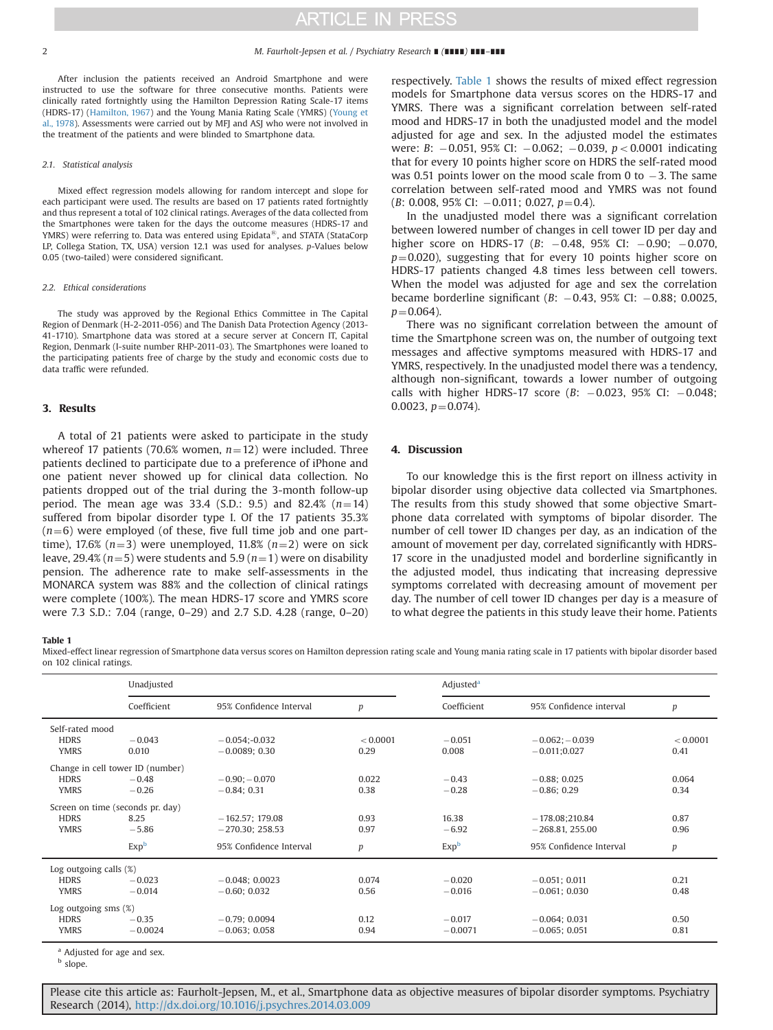## **ARTICLE IN PRESS**

After inclusion the patients received an Android Smartphone and were instructed to use the software for three consecutive months. Patients were clinically rated fortnightly using the Hamilton Depression Rating Scale-17 items (HDRS-17) [\(Hamilton, 1967\)](#page-2-0) and the Young Mania Rating Scale (YMRS) ([Young et](#page-3-0) [al., 1978](#page-3-0)). Assessments were carried out by MFJ and ASJ who were not involved in the treatment of the patients and were blinded to Smartphone data.

#### 2.1. Statistical analysis

Mixed effect regression models allowing for random intercept and slope for each participant were used. The results are based on 17 patients rated fortnightly and thus represent a total of 102 clinical ratings. Averages of the data collected from the Smartphones were taken for the days the outcome measures (HDRS-17 and YMRS) were referring to. Data was entered using Epidata $^{\circledR}$ , and STATA (StataCorp LP, Collega Station, TX, USA) version 12.1 was used for analyses. p-Values below 0.05 (two-tailed) were considered significant.

#### 2.2. Ethical considerations

The study was approved by the Regional Ethics Committee in The Capital Region of Denmark (H-2-2011-056) and The Danish Data Protection Agency (2013- 41-1710). Smartphone data was stored at a secure server at Concern IT, Capital Region, Denmark (I-suite number RHP-2011-03). The Smartphones were loaned to the participating patients free of charge by the study and economic costs due to data traffic were refunded.

#### 3. Results

A total of 21 patients were asked to participate in the study whereof 17 patients (70.6% women,  $n=12$ ) were included. Three patients declined to participate due to a preference of iPhone and one patient never showed up for clinical data collection. No patients dropped out of the trial during the 3-month follow-up period. The mean age was 33.4 (S.D.: 9.5) and 82.4%  $(n=14)$ suffered from bipolar disorder type I. Of the 17 patients 35.3%  $(n=6)$  were employed (of these, five full time job and one parttime), 17.6% ( $n=3$ ) were unemployed, 11.8% ( $n=2$ ) were on sick leave, 29.4% ( $n=5$ ) were students and 5.9 ( $n=1$ ) were on disability pension. The adherence rate to make self-assessments in the MONARCA system was 88% and the collection of clinical ratings were complete (100%). The mean HDRS-17 score and YMRS score were 7.3 S.D.: 7.04 (range, 0–29) and 2.7 S.D. 4.28 (range, 0–20) respectively. Table 1 shows the results of mixed effect regression models for Smartphone data versus scores on the HDRS-17 and YMRS. There was a significant correlation between self-rated mood and HDRS-17 in both the unadjusted model and the model adjusted for age and sex. In the adjusted model the estimates were: B:  $-0.051$ , 95% CI:  $-0.062$ ;  $-0.039$ ,  $p < 0.0001$  indicating that for every 10 points higher score on HDRS the self-rated mood was 0.51 points lower on the mood scale from 0 to  $-3$ . The same correlation between self-rated mood and YMRS was not found  $(B: 0.008, 95\% \text{ CI: } -0.011; 0.027, p=0.4).$ 

In the unadjusted model there was a significant correlation between lowered number of changes in cell tower ID per day and higher score on HDRS-17  $(B: -0.48, 95\% \text{ CI: } -0.90; -0.070,$  $p=0.020$ ), suggesting that for every 10 points higher score on HDRS-17 patients changed 4.8 times less between cell towers. When the model was adjusted for age and sex the correlation became borderline significant ( $B$ :  $-0.43$ , 95% CI:  $-0.88$ ; 0.0025,  $p = 0.064$ ).

There was no significant correlation between the amount of time the Smartphone screen was on, the number of outgoing text messages and affective symptoms measured with HDRS-17 and YMRS, respectively. In the unadjusted model there was a tendency, although non-significant, towards a lower number of outgoing calls with higher HDRS-17 score  $(B: -0.023, 95\% \text{ CI: } -0.048;$ 0.0023,  $p=0.074$ ).

#### 4. Discussion

To our knowledge this is the first report on illness activity in bipolar disorder using objective data collected via Smartphones. The results from this study showed that some objective Smartphone data correlated with symptoms of bipolar disorder. The number of cell tower ID changes per day, as an indication of the amount of movement per day, correlated significantly with HDRS-17 score in the unadjusted model and borderline significantly in the adjusted model, thus indicating that increasing depressive symptoms correlated with decreasing amount of movement per day. The number of cell tower ID changes per day is a measure of to what degree the patients in this study leave their home. Patients

#### Table 1

Mixed-effect linear regression of Smartphone data versus scores on Hamilton depression rating scale and Young mania rating scale in 17 patients with bipolar disorder based on 102 clinical ratings.

|                                                                | Unadjusted                                             |                                       |                  | Adjusted <sup>a</sup> |                                       |                  |
|----------------------------------------------------------------|--------------------------------------------------------|---------------------------------------|------------------|-----------------------|---------------------------------------|------------------|
|                                                                | Coefficient                                            | 95% Confidence Interval               | $\boldsymbol{p}$ | Coefficient           | 95% Confidence interval               | $\boldsymbol{p}$ |
| Self-rated mood<br><b>HDRS</b><br><b>YMRS</b>                  | $-0.043$<br>0.010                                      | $-0.054(-0.032)$<br>$-0.0089:0.30$    | < 0.0001<br>0.29 | $-0.051$<br>0.008     | $-0.062; -0.039$<br>$-0.011:0.027$    | < 0.0001<br>0.41 |
| <b>HDRS</b><br><b>YMRS</b>                                     | Change in cell tower ID (number)<br>$-0.48$<br>$-0.26$ | $-0.90:-0.070$<br>$-0.84:0.31$        | 0.022<br>0.38    | $-0.43$<br>$-0.28$    | $-0.88; 0.025$<br>$-0.86:0.29$        | 0.064<br>0.34    |
| Screen on time (seconds pr. day)<br><b>HDRS</b><br><b>YMRS</b> | 8.25<br>$-5.86$                                        | $-162.57:179.08$<br>$-270.30; 258.53$ | 0.93<br>0.97     | 16.38<br>$-6.92$      | $-178.08:210.84$<br>$-268.81, 255.00$ | 0.87<br>0.96     |
|                                                                | Exp <sup>b</sup>                                       | 95% Confidence Interval               | p                | Exp <sup>b</sup>      | 95% Confidence Interval               | p                |
| Log outgoing calls $(\%)$<br><b>HDRS</b><br><b>YMRS</b>        | $-0.023$<br>$-0.014$                                   | $-0.048; 0.0023$<br>$-0.60:0.032$     | 0.074<br>0.56    | $-0.020$<br>$-0.016$  | $-0.051; 0.011$<br>$-0.061:0.030$     | 0.21<br>0.48     |
| Log outgoing sms $(\%)$<br><b>HDRS</b><br><b>YMRS</b>          | $-0.35$<br>$-0.0024$                                   | $-0.79:0.0094$<br>$-0.063; 0.058$     | 0.12<br>0.94     | $-0.017$<br>$-0.0071$ | $-0.064:0.031$<br>$-0.065; 0.051$     | 0.50<br>0.81     |

<sup>a</sup> Adjusted for age and sex.

**b** slope.

Please cite this article as: Faurholt-Jepsen, M., et al., Smartphone data as objective measures of bipolar disorder symptoms. Psychiatry Research (2014), [http://dx.doi.org/10.1016/j.psychres.2014.03.009i](http://dx.doi.org/10.1016/j.psychres.2014.03.009)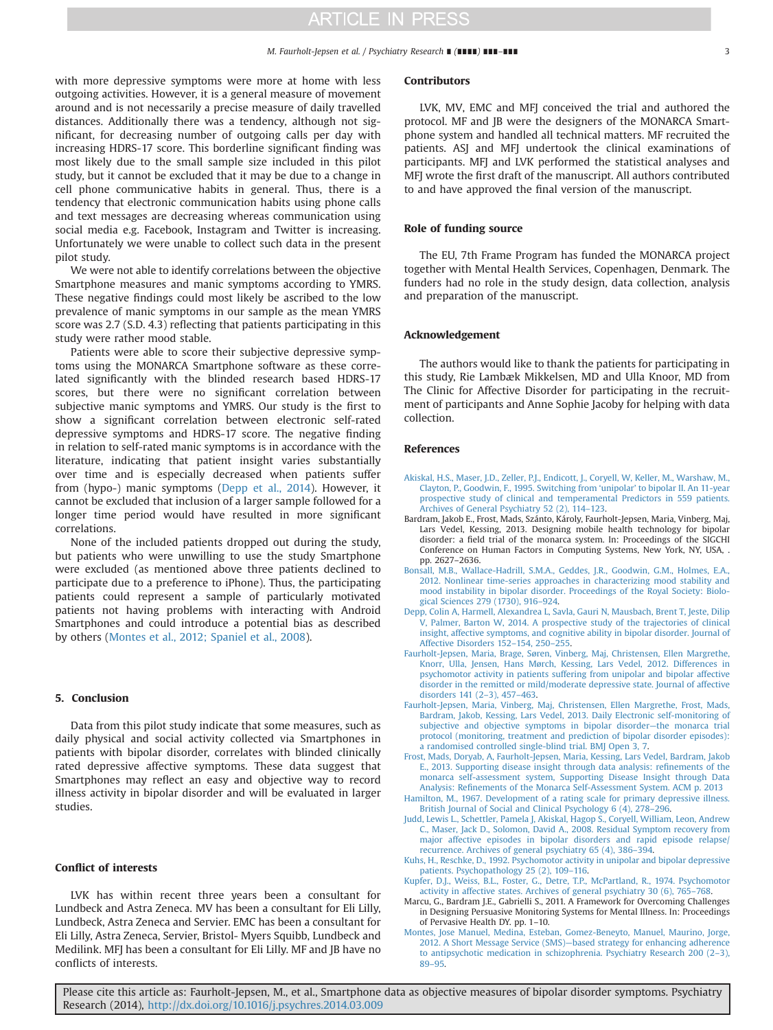#### M. Faurholt-Jepsen et al. / Psychiatry Research ∎ (∎∎∎∎) ∎∎∎–∎∎∎ 3

<span id="page-2-0"></span>with more depressive symptoms were more at home with less outgoing activities. However, it is a general measure of movement around and is not necessarily a precise measure of daily travelled distances. Additionally there was a tendency, although not significant, for decreasing number of outgoing calls per day with increasing HDRS-17 score. This borderline significant finding was most likely due to the small sample size included in this pilot study, but it cannot be excluded that it may be due to a change in cell phone communicative habits in general. Thus, there is a tendency that electronic communication habits using phone calls and text messages are decreasing whereas communication using social media e.g. Facebook, Instagram and Twitter is increasing. Unfortunately we were unable to collect such data in the present pilot study.

We were not able to identify correlations between the objective Smartphone measures and manic symptoms according to YMRS. These negative findings could most likely be ascribed to the low prevalence of manic symptoms in our sample as the mean YMRS score was 2.7 (S.D. 4.3) reflecting that patients participating in this study were rather mood stable.

Patients were able to score their subjective depressive symptoms using the MONARCA Smartphone software as these correlated significantly with the blinded research based HDRS-17 scores, but there were no significant correlation between subjective manic symptoms and YMRS. Our study is the first to show a significant correlation between electronic self-rated depressive symptoms and HDRS-17 score. The negative finding in relation to self-rated manic symptoms is in accordance with the literature, indicating that patient insight varies substantially over time and is especially decreased when patients suffer from (hypo-) manic symptoms (Depp et al., 2014). However, it cannot be excluded that inclusion of a larger sample followed for a longer time period would have resulted in more significant correlations.

None of the included patients dropped out during the study, but patients who were unwilling to use the study Smartphone were excluded (as mentioned above three patients declined to participate due to a preference to iPhone). Thus, the participating patients could represent a sample of particularly motivated patients not having problems with interacting with Android Smartphones and could introduce a potential bias as described by others [\(Montes et al., 2012; Spaniel et al., 2008\)](#page-3-0).

#### 5. Conclusion

Data from this pilot study indicate that some measures, such as daily physical and social activity collected via Smartphones in patients with bipolar disorder, correlates with blinded clinically rated depressive affective symptoms. These data suggest that Smartphones may reflect an easy and objective way to record illness activity in bipolar disorder and will be evaluated in larger studies.

#### Conflict of interests

LVK has within recent three years been a consultant for Lundbeck and Astra Zeneca. MV has been a consultant for Eli Lilly, Lundbeck, Astra Zeneca and Servier. EMC has been a consultant for Eli Lilly, Astra Zeneca, Servier, Bristol- Myers Squibb, Lundbeck and Medilink. MFJ has been a consultant for Eli Lilly. MF and JB have no conflicts of interests.

#### Contributors

LVK, MV, EMC and MFJ conceived the trial and authored the protocol. MF and JB were the designers of the MONARCA Smartphone system and handled all technical matters. MF recruited the patients. ASJ and MFJ undertook the clinical examinations of participants. MFJ and LVK performed the statistical analyses and MFJ wrote the first draft of the manuscript. All authors contributed to and have approved the final version of the manuscript.

#### Role of funding source

The EU, 7th Frame Program has funded the MONARCA project together with Mental Health Services, Copenhagen, Denmark. The funders had no role in the study design, data collection, analysis and preparation of the manuscript.

#### Acknowledgement

The authors would like to thank the patients for participating in this study, Rie Lambæk Mikkelsen, MD and Ulla Knoor, MD from The Clinic for Affective Disorder for participating in the recruitment of participants and Anne Sophie Jacoby for helping with data collection.

#### References

- [Akiskal, H.S., Maser, J.D., Zeller, P.J., Endicott, J., Coryell, W, Keller, M., Warshaw, M.,](http://refhub.elsevier.com/S0165-1781(14)00187-5/sbref1) [Clayton, P., Goodwin, F., 1995. Switching from](http://refhub.elsevier.com/S0165-1781(14)00187-5/sbref1) 'unipolar' to bipolar II. An 11-year [prospective study of clinical and temperamental Predictors in 559 patients.](http://refhub.elsevier.com/S0165-1781(14)00187-5/sbref1) [Archives of General Psychiatry 52 \(2\), 114](http://refhub.elsevier.com/S0165-1781(14)00187-5/sbref1)–123.
- Bardram, Jakob E., Frost, Mads, Szánto, Károly, Faurholt-Jepsen, Maria, Vinberg, Maj, Lars Vedel, Kessing, 2013. Designing mobile health technology for bipolar disorder: a field trial of the monarca system. In: Proceedings of the SIGCHI Conference on Human Factors in Computing Systems, New York, NY, USA, . pp. 2627–2636.
- [Bonsall, M.B., Wallace-Hadrill, S.M.A., Geddes, J.R., Goodwin, G.M., Holmes, E.A.,](http://refhub.elsevier.com/S0165-1781(14)00187-5/sbref2) [2012. Nonlinear time-series approaches in characterizing mood stability and](http://refhub.elsevier.com/S0165-1781(14)00187-5/sbref2) [mood instability in bipolar disorder. Proceedings of the Royal Society: Biolo](http://refhub.elsevier.com/S0165-1781(14)00187-5/sbref2)[gical Sciences 279 \(1730\), 916](http://refhub.elsevier.com/S0165-1781(14)00187-5/sbref2)–924.
- [Depp, Colin A, Harmell, Alexandrea L, Savla, Gauri N, Mausbach, Brent T, Jeste, Dilip](http://refhub.elsevier.com/S0165-1781(14)00187-5/sbref3) [V, Palmer, Barton W, 2014. A prospective study of the trajectories of clinical](http://refhub.elsevier.com/S0165-1781(14)00187-5/sbref3) [insight, affective symptoms, and cognitive ability in bipolar disorder. Journal of](http://refhub.elsevier.com/S0165-1781(14)00187-5/sbref3) [Affective Disorders 152](http://refhub.elsevier.com/S0165-1781(14)00187-5/sbref3)–154, 250–255.
- [Faurholt-Jepsen, Maria, Brage, Søren, Vinberg, Maj, Christensen, Ellen Margrethe,](http://refhub.elsevier.com/S0165-1781(14)00187-5/sbref4) [Knorr, Ulla, Jensen, Hans Mørch, Kessing, Lars Vedel, 2012. Differences in](http://refhub.elsevier.com/S0165-1781(14)00187-5/sbref4) [psychomotor activity in patients suffering from unipolar and bipolar affective](http://refhub.elsevier.com/S0165-1781(14)00187-5/sbref4) [disorder in the remitted or mild/moderate depressive state. Journal of affective](http://refhub.elsevier.com/S0165-1781(14)00187-5/sbref4) [disorders 141 \(2](http://refhub.elsevier.com/S0165-1781(14)00187-5/sbref4)–3), 457–463.
- [Faurholt-Jepsen, Maria, Vinberg, Maj, Christensen, Ellen Margrethe, Frost, Mads,](http://refhub.elsevier.com/S0165-1781(14)00187-5/sbref5) [Bardram, Jakob, Kessing, Lars Vedel, 2013. Daily Electronic self-monitoring of](http://refhub.elsevier.com/S0165-1781(14)00187-5/sbref5) [subjective and objective symptoms in bipolar disorder](http://refhub.elsevier.com/S0165-1781(14)00187-5/sbref5)—the monarca trial [protocol \(monitoring, treatment and prediction of bipolar disorder episodes\):](http://refhub.elsevier.com/S0165-1781(14)00187-5/sbref5) [a randomised controlled single-blind trial. BMJ Open 3, 7.](http://refhub.elsevier.com/S0165-1781(14)00187-5/sbref5)
- [Frost, Mads, Doryab, A, Faurholt-Jepsen, Maria, Kessing, Lars Vedel, Bardram, Jakob](http://refhub.elsevier.com/S0165-1781(14)00187-5/sbref6) [E., 2013. Supporting disease insight through data analysis: re](http://refhub.elsevier.com/S0165-1781(14)00187-5/sbref6)finements of the [monarca self-assessment system, Supporting Disease Insight through Data](http://refhub.elsevier.com/S0165-1781(14)00187-5/sbref6) Analysis: Refi[nements of the Monarca Self-Assessment System. ACM p. 2013](http://refhub.elsevier.com/S0165-1781(14)00187-5/sbref6)
- [Hamilton, M., 1967. Development of a rating scale for primary depressive illness.](http://refhub.elsevier.com/S0165-1781(14)00187-5/sbref7) [British Journal of Social and Clinical Psychology 6 \(4\), 278](http://refhub.elsevier.com/S0165-1781(14)00187-5/sbref7)–296.
- [Judd, Lewis L., Schettler, Pamela J, Akiskal, Hagop S., Coryell, William, Leon, Andrew](http://refhub.elsevier.com/S0165-1781(14)00187-5/sbref8) [C., Maser, Jack D., Solomon, David A., 2008. Residual Symptom recovery from](http://refhub.elsevier.com/S0165-1781(14)00187-5/sbref8) [major affective episodes in bipolar disorders and rapid episode relapse/](http://refhub.elsevier.com/S0165-1781(14)00187-5/sbref8) [recurrence. Archives of general psychiatry 65 \(4\), 386](http://refhub.elsevier.com/S0165-1781(14)00187-5/sbref8)–394.
- [Kuhs, H., Reschke, D., 1992. Psychomotor activity in unipolar and bipolar depressive](http://refhub.elsevier.com/S0165-1781(14)00187-5/sbref9) [patients. Psychopathology 25 \(2\), 109](http://refhub.elsevier.com/S0165-1781(14)00187-5/sbref9)–116.
- [Kupfer, D.J., Weiss, B.L., Foster, G., Detre, T.P., McPartland, R., 1974. Psychomotor](http://refhub.elsevier.com/S0165-1781(14)00187-5/sbref10) [activity in affective states. Archives of general psychiatry 30 \(6\), 765](http://refhub.elsevier.com/S0165-1781(14)00187-5/sbref10)–768.
- Marcu, G., Bardram J.E., Gabrielli S., 2011. A Framework for Overcoming Challenges in Designing Persuasive Monitoring Systems for Mental Illness. In: Proceedings of Pervasive Health DY. pp. 1–10.
- [Montes, Jose Manuel, Medina, Esteban, Gomez-Beneyto, Manuel, Maurino, Jorge,](http://refhub.elsevier.com/S0165-1781(14)00187-5/sbref11) 2012. A Short Message Service (SMS)—[based strategy for enhancing adherence](http://refhub.elsevier.com/S0165-1781(14)00187-5/sbref11) [to antipsychotic medication in schizophrenia. Psychiatry Research 200 \(2](http://refhub.elsevier.com/S0165-1781(14)00187-5/sbref11)–3), 89–[95.](http://refhub.elsevier.com/S0165-1781(14)00187-5/sbref11)

Please cite this article as: Faurholt-Jepsen, M., et al., Smartphone data as objective measures of bipolar disorder symptoms. Psychiatry Research (2014), [http://dx.doi.org/10.1016/j.psychres.2014.03.009i](http://dx.doi.org/10.1016/j.psychres.2014.03.009)